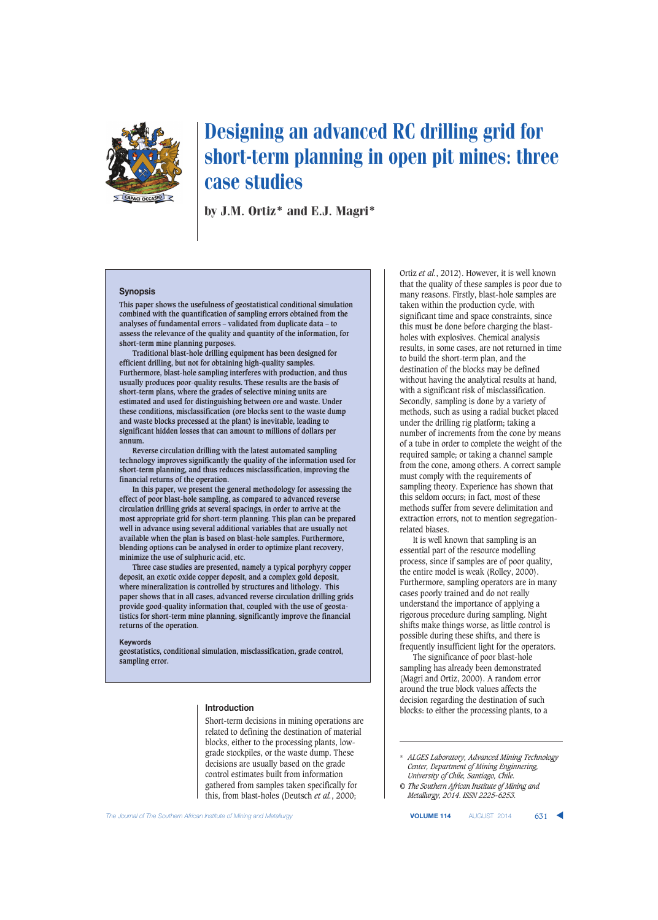

# Designing an advanced RC drilling grid for short-term planning in open pit mines: three case studies

by J.M. Ortiz\* and E.J. Magri\*

#### **Synopsis**

**This paper shows the usefulness of geostatistical conditional simulation combined with the quantification of sampling errors obtained from the analyses of fundamental errors – validated from duplicate data – to assess the relevance of the quality and quantity of the information, for short-term mine planning purposes.**

**Traditional blast-hole drilling equipment has been designed for efficient drilling, but not for obtaining high-quality samples. Furthermore, blast-hole sampling interferes with production, and thus usually produces poor-quality results. These results are the basis of short-term plans, where the grades of selective mining units are estimated and used for distinguishing between ore and waste. Under these conditions, misclassification (ore blocks sent to the waste dump and waste blocks processed at the plant) is inevitable, leading to significant hidden losses that can amount to millions of dollars per annum.** 

**Reverse circulation drilling with the latest automated sampling technology improves significantly the quality of the information used for short-term planning, and thus reduces misclassification, improving the financial returns of the operation.**

**In this paper, we present the general methodology for assessing the effect of poor blast-hole sampling, as compared to advanced reverse circulation drilling grids at several spacings, in order to arrive at the most appropriate grid for short-term planning. This plan can be prepared well in advance using several additional variables that are usually not available when the plan is based on blast-hole samples. Furthermore, blending options can be analysed in order to optimize plant recovery, minimize the use of sulphuric acid, etc.** 

**Three case studies are presented, namely a typical porphyry copper deposit, an exotic oxide copper deposit, and a complex gold deposit, where mineralization is controlled by structures and lithology. This paper shows that in all cases, advanced reverse circulation drilling grids provide good-quality information that, coupled with the use of geostatistics for short-term mine planning, significantly improve the financial returns of the operation.**

#### **Keywords**

**geostatistics, conditional simulation, misclassification, grade control, sampling error.**

#### **Introduction**

Short-term decisions in mining operations are related to defining the destination of material blocks, either to the processing plants, lowgrade stockpiles, or the waste dump. These decisions are usually based on the grade control estimates built from information gathered from samples taken specifically for this, from blast-holes (Deutsch *et al.*, 2000;

Ortiz *et al.*, 2012). However, it is well known that the quality of these samples is poor due to many reasons. Firstly, blast-hole samples are taken within the production cycle, with significant time and space constraints, since this must be done before charging the blastholes with explosives. Chemical analysis results, in some cases, are not returned in time to build the short-term plan, and the destination of the blocks may be defined without having the analytical results at hand, with a significant risk of misclassification. Secondly, sampling is done by a variety of methods, such as using a radial bucket placed under the drilling rig platform; taking a number of increments from the cone by means of a tube in order to complete the weight of the required sample; or taking a channel sample from the cone, among others. A correct sample must comply with the requirements of sampling theory. Experience has shown that this seldom occurs; in fact, most of these methods suffer from severe delimitation and extraction errors, not to mention segregationrelated biases.

It is well known that sampling is an essential part of the resource modelling process, since if samples are of poor quality, the entire model is weak (Rolley, 2000). Furthermore, sampling operators are in many cases poorly trained and do not really understand the importance of applying a rigorous procedure during sampling. Night shifts make things worse, as little control is possible during these shifts, and there is frequently insufficient light for the operators.

The significance of poor blast-hole sampling has already been demonstrated (Magri and Ortiz, 2000). A random error around the true block values affects the decision regarding the destination of such blocks: to either the processing plants, to a

**The Journal of The Southern African Institute of Mining and Metallurgy <b>VOLUME 114** AUGUST 2014 **631** 

<sup>\*</sup> *ALGES Laboratory, Advanced Mining Technology Center, Department of Mining Enginnering, University of Chile, Santiago, Chile.*

*<sup>©</sup> The Southern African Institute of Mining and Metallurgy, 2014. ISSN 2225-6253.*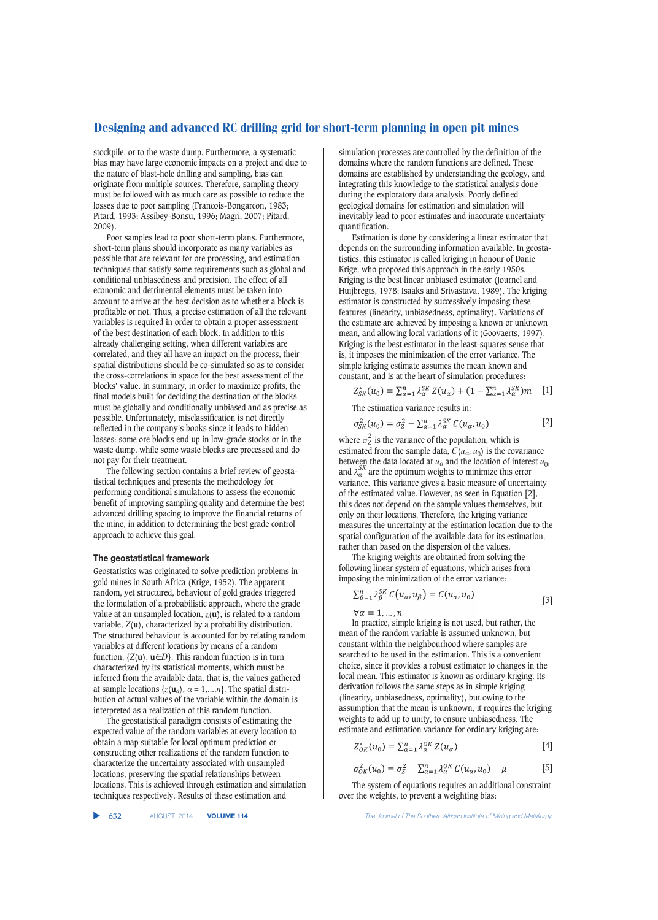stockpile, or to the waste dump. Furthermore, a systematic bias may have large economic impacts on a project and due to the nature of blast-hole drilling and sampling, bias can originate from multiple sources. Therefore, sampling theory must be followed with as much care as possible to reduce the losses due to poor sampling (Francois-Bongarcon, 1983; Pitard, 1993; Assibey-Bonsu, 1996; Magri, 2007; Pitard, 2009).

Poor samples lead to poor short-term plans. Furthermore, short-term plans should incorporate as many variables as possible that are relevant for ore processing, and estimation techniques that satisfy some requirements such as global and conditional unbiasedness and precision. The effect of all economic and detrimental elements must be taken into account to arrive at the best decision as to whether a block is profitable or not. Thus, a precise estimation of all the relevant variables is required in order to obtain a proper assessment of the best destination of each block. In addition to this already challenging setting, when different variables are correlated, and they all have an impact on the process, their spatial distributions should be co-simulated so as to consider the cross-correlations in space for the best assessment of the blocks' value. In summary, in order to maximize profits, the final models built for deciding the destination of the blocks must be globally and conditionally unbiased and as precise as possible. Unfortunately, misclassification is not directly reflected in the company's books since it leads to hidden losses: some ore blocks end up in low-grade stocks or in the waste dump, while some waste blocks are processed and do not pay for their treatment.

The following section contains a brief review of geostatistical techniques and presents the methodology for performing conditional simulations to assess the economic benefit of improving sampling quality and determine the best advanced drilling spacing to improve the financial returns of the mine, in addition to determining the best grade control approach to achieve this goal.

#### **The geostatistical framework**

Geostatistics was originated to solve prediction problems in gold mines in South Africa (Krige, 1952). The apparent random, yet structured, behaviour of gold grades triggered the formulation of a probabilistic approach, where the grade value at an unsampled location,  $z(\mathbf{u})$ , is related to a random variable, *Z*(**u**), characterized by a probability distribution. The structured behaviour is accounted for by relating random variables at different locations by means of a random function,  $\{Z(\mathbf{u}), \mathbf{u}\in D\}$ . This random function is in turn characterized by its statistical moments, which must be inferred from the available data, that is, the values gathered at sample locations  $\{z(\mathbf{u}_a), a = 1,...,n\}$ . The spatial distribution of actual values of the variable within the domain is interpreted as a realization of this random function.

The geostatistical paradigm consists of estimating the expected value of the random variables at every location to obtain a map suitable for local optimum prediction or constructing other realizations of the random function to characterize the uncertainty associated with unsampled locations, preserving the spatial relationships between locations. This is achieved through estimation and simulation techniques respectively. Results of these estimation and

simulation processes are controlled by the definition of the domains where the random functions are defined. These domains are established by understanding the geology, and integrating this knowledge to the statistical analysis done during the exploratory data analysis. Poorly defined geological domains for estimation and simulation will inevitably lead to poor estimates and inaccurate uncertainty quantification.

Estimation is done by considering a linear estimator that depends on the surrounding information available. In geostatistics, this estimator is called kriging in honour of Danie Krige, who proposed this approach in the early 1950s. Kriging is the best linear unbiased estimator (Journel and Huijbregts, 1978; Isaaks and Srivastava, 1989). The kriging estimator is constructed by successively imposing these features (linearity, unbiasedness, optimality). Variations of the estimate are achieved by imposing a known or unknown mean, and allowing local variations of it (Goovaerts, 1997). Kriging is the best estimator in the least-squares sense that is, it imposes the minimization of the error variance. The simple kriging estimate assumes the mean known and constant, and is at the heart of simulation procedures:

$$
Z_{SK}^*(u_0) = \sum_{\alpha=1}^n \lambda_{\alpha}^{SK} Z(u_{\alpha}) + (1 - \sum_{\alpha=1}^n \lambda_{\alpha}^{SK})m \quad [1]
$$

The estimation variance results in:

$$
\sigma_{SK}^2(u_0) = \sigma_Z^2 - \sum_{\alpha=1}^n \lambda_{\alpha}^{SK} C(u_{\alpha}, u_0)
$$
 [2]

where  $\sigma_Z^2$  is the variance of the population, which is estimated from the sample data,  $C(u_{\alpha}, u_0)$  is the covariance between the data located at  $u_{\alpha}$  and the location of interest  $u_0$ , and  $\lambda_{\alpha}^{SK}$  are the optimum weights to minimize this error variance. This variance gives a basic measure of uncertainty of the estimated value. However, as seen in Equation [2], this does not depend on the sample values themselves, but only on their locations. Therefore, the kriging variance measures the uncertainty at the estimation location due to the spatial configuration of the available data for its estimation, rather than based on the dispersion of the values.

The kriging weights are obtained from solving the following linear system of equations, which arises from imposing the minimization of the error variance:

$$
\sum_{\beta=1}^{n} \lambda_{\beta}^{SK} C(u_{\alpha}, u_{\beta}) = C(u_{\alpha}, u_{0})
$$
\n[3]

 $\forall \alpha = 1, ..., n$ 

In practice, simple kriging is not used, but rather, the mean of the random variable is assumed unknown, but constant within the neighbourhood where samples are searched to be used in the estimation. This is a convenient choice, since it provides a robust estimator to changes in the local mean. This estimator is known as ordinary kriging. Its derivation follows the same steps as in simple kriging (linearity, unbiasedness, optimality), but owing to the assumption that the mean is unknown, it requires the kriging weights to add up to unity, to ensure unbiasedness. The estimate and estimation variance for ordinary kriging are:

$$
Z_{OK}^*(u_0) = \sum_{\alpha=1}^n \lambda_{\alpha}^{OK} Z(u_{\alpha})
$$
 [4]

$$
\sigma_{OK}^2(u_0) = \sigma_Z^2 - \sum_{\alpha=1}^n \lambda_{\alpha}^{OK} C(u_{\alpha}, u_0) - \mu \tag{5}
$$

The system of equations requires an additional constraint over the weights, to prevent a weighting bias:

632 AUGUST 2014 **VOLUME 114** *The Journal of The Southern African Institute of Mining and Metallurgy*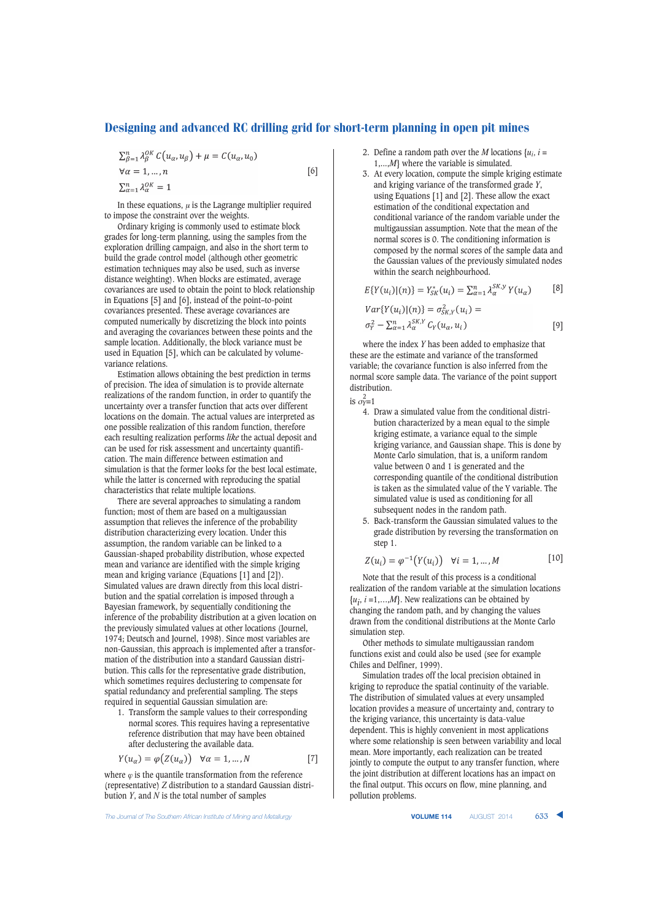$$
\sum_{\beta=1}^{n} \lambda_{\beta}^{OK} C(u_{\alpha}, u_{\beta}) + \mu = C(u_{\alpha}, u_{0})
$$
  
\n
$$
\forall \alpha = 1, ..., n
$$
  
\n
$$
\sum_{\alpha=1}^{n} \lambda_{\alpha}^{OK} = 1
$$
 [6]

In these equations,  $\mu$  is the Lagrange multiplier required to impose the constraint over the weights.

Ordinary kriging is commonly used to estimate block grades for long-term planning, using the samples from the exploration drilling campaign, and also in the short term to build the grade control model (although other geometric estimation techniques may also be used, such as inverse distance weighting). When blocks are estimated, average covariances are used to obtain the point to block relationship in Equations [5] and [6], instead of the point–to-point covariances presented. These average covariances are computed numerically by discretizing the block into points and averaging the covariances between these points and the sample location. Additionally, the block variance must be used in Equation [5], which can be calculated by volumevariance relations.

Estimation allows obtaining the best prediction in terms of precision. The idea of simulation is to provide alternate realizations of the random function, in order to quantify the uncertainty over a transfer function that acts over different locations on the domain. The actual values are interpreted as one possible realization of this random function, therefore each resulting realization performs *like* the actual deposit and can be used for risk assessment and uncertainty quantification. The main difference between estimation and simulation is that the former looks for the best local estimate, while the latter is concerned with reproducing the spatial characteristics that relate multiple locations.

There are several approaches to simulating a random function; most of them are based on a multigaussian assumption that relieves the inference of the probability distribution characterizing every location. Under this assumption, the random variable can be linked to a Gaussian-shaped probability distribution, whose expected mean and variance are identified with the simple kriging mean and kriging variance (Equations [1] and [2]). Simulated values are drawn directly from this local distribution and the spatial correlation is imposed through a Bayesian framework, by sequentially conditioning the inference of the probability distribution at a given location on the previously simulated values at other locations (Journel, 1974; Deutsch and Journel, 1998). Since most variables are non-Gaussian, this approach is implemented after a transformation of the distribution into a standard Gaussian distribution. This calls for the representative grade distribution, which sometimes requires declustering to compensate for spatial redundancy and preferential sampling. The steps required in sequential Gaussian simulation are:

1. Transform the sample values to their corresponding normal scores. This requires having a representative reference distribution that may have been obtained after declustering the available data.

$$
Y(u_{\alpha}) = \varphi(Z(u_{\alpha})) \quad \forall \alpha = 1, ..., N \tag{7}
$$

where  $\varphi$  is the quantile transformation from the reference (representative) *Z* distribution to a standard Gaussian distribution *Y*, and *N* is the total number of samples

2. Define a random path over the *M* locations  $\{u_i, i =$ 1,...,*M*} where the variable is simulated.

3. At every location, compute the simple kriging estimate and kriging variance of the transformed grade *Y*, using Equations [1] and [2]. These allow the exact estimation of the conditional expectation and conditional variance of the random variable under the multigaussian assumption. Note that the mean of the normal scores is 0. The conditioning information is composed by the normal scores of the sample data and the Gaussian values of the previously simulated nodes within the search neighbourhood.

$$
E\{Y(u_i)|(n)\} = Y_{SK}^*(u_i) = \sum_{\alpha=1}^n \lambda_{\alpha}^{SK,y} Y(u_{\alpha})
$$
[8]  

$$
Var\{Y(u_i)|(n)\} = \sigma_{SK,Y}^2(u_i) = \sigma_Y^2 - \sum_{\alpha=1}^n \lambda_{\alpha}^{SK,y} C_Y(u_{\alpha}, u_i)
$$
[9]

where the index *Y* has been added to emphasize that these are the estimate and variance of the transformed variable; the covariance function is also inferred from the normal score sample data. The variance of the point support distribution.

is  $\sigma_Y^2=1$ 

- 4. Draw a simulated value from the conditional distribution characterized by a mean equal to the simple kriging estimate, a variance equal to the simple kriging variance, and Gaussian shape. This is done by Monte Carlo simulation, that is, a uniform random value between 0 and 1 is generated and the corresponding quantile of the conditional distribution is taken as the simulated value of the Y variable. The simulated value is used as conditioning for all subsequent nodes in the random path.
- 5. Back-transform the Gaussian simulated values to the grade distribution by reversing the transformation on step 1.

$$
Z(u_i) = \varphi^{-1}(Y(u_i)) \quad \forall i = 1, ..., M
$$
 [10]

Note that the result of this process is a conditional realization of the random variable at the simulation locations  $\{u_i, i = 1, \ldots, M\}$ . New realizations can be obtained by changing the random path, and by changing the values drawn from the conditional distributions at the Monte Carlo simulation step.

Other methods to simulate multigaussian random functions exist and could also be used (see for example Chiles and Delfiner, 1999).

Simulation trades off the local precision obtained in kriging to reproduce the spatial continuity of the variable. The distribution of simulated values at every unsampled location provides a measure of uncertainty and, contrary to the kriging variance, this uncertainty is data-value dependent. This is highly convenient in most applications where some relationship is seen between variability and local mean. More importantly, each realization can be treated jointly to compute the output to any transfer function, where the joint distribution at different locations has an impact on the final output. This occurs on flow, mine planning, and pollution problems.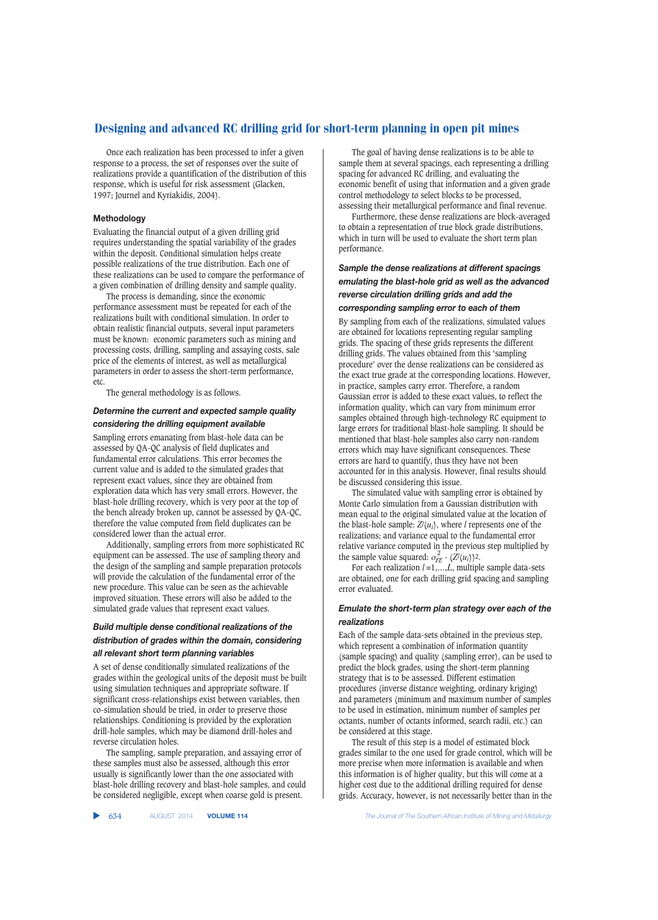Once each realization has been processed to infer a given response to a process, the set of responses over the suite of realizations provide a quantification of the distribution of this response, which is useful for risk assessment (Glacken, 1997; Journel and Kyriakidis, 2004).

# **Methodology**

Evaluating the financial output of a given drilling grid requires understanding the spatial variability of the grades within the deposit. Conditional simulation helps create possible realizations of the true distribution. Each one of these realizations can be used to compare the performance of a given combination of drilling density and sample quality.

The process is demanding, since the economic performance assessment must be repeated for each of the realizations built with conditional simulation. In order to obtain realistic financial outputs, several input parameters must be known: economic parameters such as mining and processing costs, drilling, sampling and assaying costs, sale price of the elements of interest, as well as metallurgical parameters in order to assess the short-term performance, etc.

The general methodology is as follows.

# *Determine the current and expected sample quality considering the drilling equipment available*

Sampling errors emanating from blast-hole data can be assessed by QA-QC analysis of field duplicates and fundamental error calculations. This error becomes the current value and is added to the simulated grades that represent exact values, since they are obtained from exploration data which has very small errors. However, the blast-hole drilling recovery, which is very poor at the top of the bench already broken up, cannot be assessed by QA-QC, therefore the value computed from field duplicates can be considered lower than the actual error.

Additionally, sampling errors from more sophisticated RC equipment can be assessed. The use of sampling theory and the design of the sampling and sample preparation protocols will provide the calculation of the fundamental error of the new procedure. This value can be seen as the achievable improved situation. These errors will also be added to the simulated grade values that represent exact values.

# *Build multiple dense conditional realizations of the distribution of grades within the domain, considering*

# *all relevant short term planning variables*

A set of dense conditionally simulated realizations of the grades within the geological units of the deposit must be built using simulation techniques and appropriate software. If significant cross-relationships exist between variables, then co-simulation should be tried, in order to preserve those relationships. Conditioning is provided by the exploration drill-hole samples, which may be diamond drill-holes and reverse circulation holes.

The sampling, sample preparation, and assaying error of these samples must also be assessed, although this error usually is significantly lower than the one associated with blast-hole drilling recovery and blast-hole samples, and could be considered negligible, except when coarse gold is present.

The goal of having dense realizations is to be able to sample them at several spacings, each representing a drilling spacing for advanced RC drilling, and evaluating the economic benefit of using that information and a given grade control methodology to select blocks to be processed, assessing their metallurgical performance and final revenue.

Furthermore, these dense realizations are block-averaged to obtain a representation of true block grade distributions, which in turn will be used to evaluate the short term plan performance.

# *Sample the dense realizations at different spacings emulating the blast-hole grid as well as the advanced reverse circulation drilling grids and add the*

### *corresponding sampling error to each of them*

By sampling from each of the realizations, simulated values are obtained for locations representing regular sampling grids. The spacing of these grids represents the different drilling grids. The values obtained from this 'sampling procedure' over the dense realizations can be considered as the exact true grade at the corresponding locations. However, in practice, samples carry error. Therefore, a random Gaussian error is added to these exact values, to reflect the information quality, which can vary from minimum error samples obtained through high-technology RC equipment to large errors for traditional blast-hole sampling. It should be mentioned that blast-hole samples also carry non-random errors which may have significant consequences. These errors are hard to quantify, thus they have not been accounted for in this analysis. However, final results should be discussed considering this issue.

The simulated value with sampling error is obtained by Monte Carlo simulation from a Gaussian distribution with mean equal to the original simulated value at the location of the blast-hole sample:  $Z^{l}(u_i)$ , where *l* represents one of the realizations; and variance equal to the fundamental error relative variance computed in the previous step multiplied by the sample value squared:  $\sigma_{FE}^2 \cdot (\bar{Z}^l(u_i))^2$ .

For each realization *l* =1,…,*L*, multiple sample data-sets are obtained, one for each drilling grid spacing and sampling error evaluated.

# *Emulate the short-term plan strategy over each of the realizations*

Each of the sample data-sets obtained in the previous step, which represent a combination of information quantity (sample spacing) and quality (sampling error), can be used to predict the block grades, using the short-term planning strategy that is to be assessed. Different estimation procedures (inverse distance weighting, ordinary kriging) and parameters (minimum and maximum number of samples to be used in estimation, minimum number of samples per octants, number of octants informed, search radii, etc.) can be considered at this stage.

The result of this step is a model of estimated block grades similar to the one used for grade control, which will be more precise when more information is available and when this information is of higher quality, but this will come at a higher cost due to the additional drilling required for dense grids. Accuracy, however, is not necessarily better than in the

634 AUGUST 2014 **VOLUME 114** *The Journal of The Southern African Institute of Mining and Metallurgy*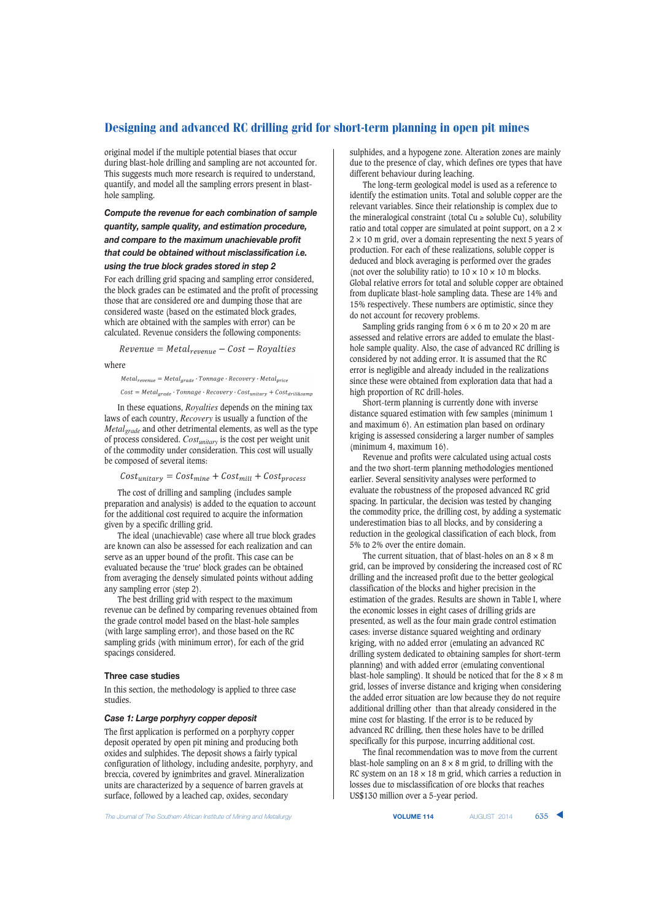original model if the multiple potential biases that occur during blast-hole drilling and sampling are not accounted for. This suggests much more research is required to understand, quantify, and model all the sampling errors present in blasthole sampling.

# *Compute the revenue for each combination of sample quantity, sample quality, and estimation procedure, and compare to the maximum unachievable profit that could be obtained without misclassification i.e. using the true block grades stored in step 2*

For each drilling grid spacing and sampling error considered, the block grades can be estimated and the profit of processing those that are considered ore and dumping those that are considered waste (based on the estimated block grades, which are obtained with the samples with error) can be calculated. Revenue considers the following components:

 $Revenue = Metal_{revenue} - Cost - Royalties$ 

where

 $\textit{Meta}_{revenue} = \textit{Meta}_{grade} \cdot \textit{Tomage} \cdot \textit{Recovery} \cdot \textit{Meta}_{price}$  $Cost = Metal_{grade} \cdot Tonnage \cdot Recovery \cdot Cost_{unitary} + Cost_{drill&samr}$ 

In these equations, *Royalties* depends on the mining tax laws of each country, *Recovery* is usually a function of the *Metalgrade* and other detrimental elements, as well as the type of process considered. *Costunitary* is the cost per weight unit of the commodity under consideration. This cost will usually be composed of several items:

 $Cost_{unitary} = Cost_{mine} + Cost_{mill} + Cost_{process}$ 

The cost of drilling and sampling (includes sample preparation and analysis) is added to the equation to account for the additional cost required to acquire the information given by a specific drilling grid.

The ideal (unachievable) case where all true block grades are known can also be assessed for each realization and can serve as an upper bound of the profit. This case can be evaluated because the 'true' block grades can be obtained from averaging the densely simulated points without adding any sampling error (step 2).

The best drilling grid with respect to the maximum revenue can be defined by comparing revenues obtained from the grade control model based on the blast-hole samples (with large sampling error), and those based on the RC sampling grids (with minimum error), for each of the grid spacings considered.

#### **Three case studies**

In this section, the methodology is applied to three case studies.

#### *Case 1: Large porphyry copper deposit*

The first application is performed on a porphyry copper deposit operated by open pit mining and producing both oxides and sulphides. The deposit shows a fairly typical configuration of lithology, including andesite, porphyry, and breccia, covered by ignimbrites and gravel. Mineralization units are characterized by a sequence of barren gravels at surface, followed by a leached cap, oxides, secondary

sulphides, and a hypogene zone. Alteration zones are mainly due to the presence of clay, which defines ore types that have different behaviour during leaching.

The long-term geological model is used as a reference to identify the estimation units. Total and soluble copper are the relevant variables. Since their relationship is complex due to the mineralogical constraint (total  $Cu \geq$  soluble Cu), solubility ratio and total copper are simulated at point support, on a 2 ×  $2 \times 10$  m grid, over a domain representing the next 5 years of production. For each of these realizations, soluble copper is deduced and block averaging is performed over the grades (not over the solubility ratio) to  $10 \times 10 \times 10$  m blocks. Global relative errors for total and soluble copper are obtained from duplicate blast-hole sampling data. These are 14% and 15% respectively. These numbers are optimistic, since they do not account for recovery problems.

Sampling grids ranging from  $6 \times 6$  m to  $20 \times 20$  m are assessed and relative errors are added to emulate the blasthole sample quality. Also, the case of advanced RC drilling is considered by not adding error. It is assumed that the RC error is negligible and already included in the realizations since these were obtained from exploration data that had a high proportion of RC drill-holes.

Short-term planning is currently done with inverse distance squared estimation with few samples (minimum 1 and maximum 6). An estimation plan based on ordinary kriging is assessed considering a larger number of samples (minimum 4, maximum 16).

Revenue and profits were calculated using actual costs and the two short-term planning methodologies mentioned earlier. Several sensitivity analyses were performed to evaluate the robustness of the proposed advanced RC grid spacing. In particular, the decision was tested by changing the commodity price, the drilling cost, by adding a systematic underestimation bias to all blocks, and by considering a reduction in the geological classification of each block, from 5% to 2% over the entire domain.

The current situation, that of blast-holes on an  $8 \times 8$  m grid, can be improved by considering the increased cost of RC drilling and the increased profit due to the better geological classification of the blocks and higher precision in the estimation of the grades. Results are shown in Table I, where the economic losses in eight cases of drilling grids are presented, as well as the four main grade control estimation cases: inverse distance squared weighting and ordinary kriging, with no added error (emulating an advanced RC drilling system dedicated to obtaining samples for short-term planning) and with added error (emulating conventional blast-hole sampling). It should be noticed that for the  $8 \times 8$  m grid, losses of inverse distance and kriging when considering the added error situation are low because they do not require additional drilling other than that already considered in the mine cost for blasting. If the error is to be reduced by advanced RC drilling, then these holes have to be drilled specifically for this purpose, incurring additional cost.

The final recommendation was to move from the current blast-hole sampling on an  $8 \times 8$  m grid, to drilling with the RC system on an  $18 \times 18$  m grid, which carries a reduction in losses due to misclassification of ore blocks that reaches US\$130 million over a 5-year period.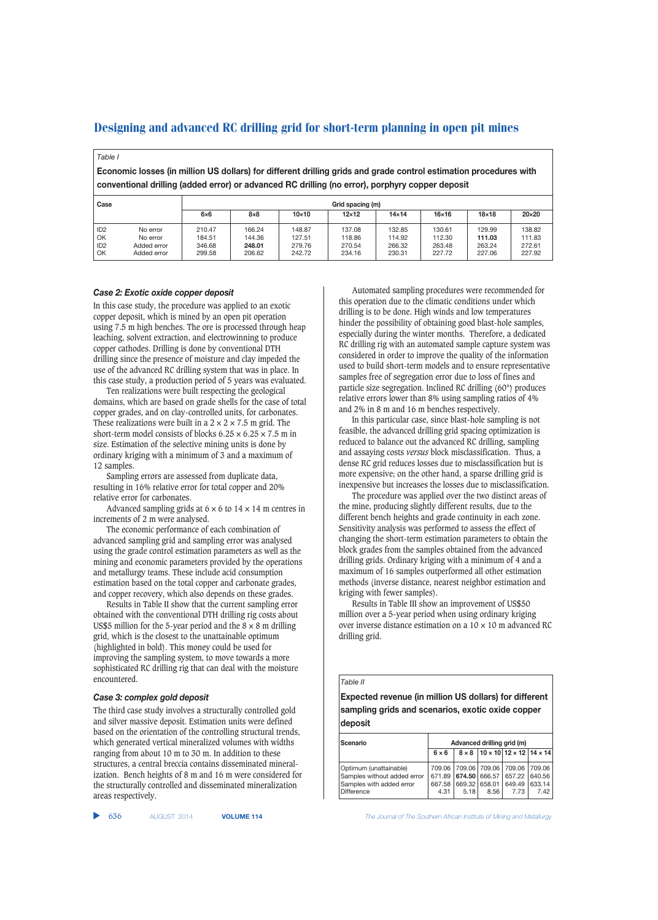# *Table I*

**Economic losses (in million US dollars) for different drilling grids and grade control estimation procedures with conventional drilling (added error) or advanced RC drilling (no error), porphyry copper deposit**

| Case                                           |                                                    | Grid spacing (m)                     |                                      |                                      |                                      |                                      |                                      |                                      |                                      |
|------------------------------------------------|----------------------------------------------------|--------------------------------------|--------------------------------------|--------------------------------------|--------------------------------------|--------------------------------------|--------------------------------------|--------------------------------------|--------------------------------------|
|                                                |                                                    | $6\times 6$                          | $8\times8$                           | $10\times10$                         | $12\times12$                         | $14\times14$                         | $16\times16$                         | $18\times18$                         | $20\times20$                         |
| ID <sub>2</sub><br>OK<br>ID <sub>2</sub><br>OK | No error<br>No error<br>Added error<br>Added error | 210.47<br>184.51<br>346.68<br>299.58 | 166.24<br>144.36<br>248.01<br>206.62 | 148.87<br>127.51<br>279.76<br>242.72 | 137.08<br>118.86<br>270.54<br>234.16 | 132.85<br>114.92<br>266.32<br>230.31 | 130.61<br>112.30<br>263.48<br>227.72 | 129.99<br>111.03<br>263.24<br>227.06 | 138.82<br>111.83<br>272.61<br>227.92 |

### *Case 2: Exotic oxide copper deposit*

In this case study, the procedure was applied to an exotic copper deposit, which is mined by an open pit operation using 7.5 m high benches. The ore is processed through heap leaching, solvent extraction, and electrowinning to produce copper cathodes. Drilling is done by conventional DTH drilling since the presence of moisture and clay impeded the use of the advanced RC drilling system that was in place. In this case study, a production period of 5 years was evaluated.

Ten realizations were built respecting the geological domains, which are based on grade shells for the case of total copper grades, and on clay-controlled units, for carbonates. These realizations were built in a  $2 \times 2 \times 7.5$  m grid. The short-term model consists of blocks  $6.25 \times 6.25 \times 7.5$  m in size. Estimation of the selective mining units is done by ordinary kriging with a minimum of 3 and a maximum of 12 samples.

Sampling errors are assessed from duplicate data, resulting in 16% relative error for total copper and 20% relative error for carbonates.

Advanced sampling grids at  $6 \times 6$  to  $14 \times 14$  m centres in increments of 2 m were analysed.

The economic performance of each combination of advanced sampling grid and sampling error was analysed using the grade control estimation parameters as well as the mining and economic parameters provided by the operations and metallurgy teams. These include acid consumption estimation based on the total copper and carbonate grades, and copper recovery, which also depends on these grades.

Results in Table II show that the current sampling error obtained with the conventional DTH drilling rig costs about US\$5 million for the 5-year period and the  $8 \times 8$  m drilling grid, which is the closest to the unattainable optimum (highlighted in bold). This money could be used for improving the sampling system, to move towards a more sophisticated RC drilling rig that can deal with the moisture encountered.

### *Case 3: complex gold deposit*

The third case study involves a structurally controlled gold and silver massive deposit. Estimation units were defined based on the orientation of the controlling structural trends, which generated vertical mineralized volumes with widths ranging from about 10 m to 30 m. In addition to these structures, a central breccia contains disseminated mineralization. Bench heights of 8 m and 16 m were considered for the structurally controlled and disseminated mineralization areas respectively.

|  | 636 | AUGUST 2014 | <b>VOLUME</b> |
|--|-----|-------------|---------------|
|--|-----|-------------|---------------|

Automated sampling procedures were recommended for this operation due to the climatic conditions under which drilling is to be done. High winds and low temperatures hinder the possibility of obtaining good blast-hole samples, especially during the winter months. Therefore, a dedicated RC drilling rig with an automated sample capture system was considered in order to improve the quality of the information used to build short-term models and to ensure representative samples free of segregation error due to loss of fines and particle size segregation. Inclined RC drilling (60°) produces relative errors lower than 8% using sampling ratios of 4% and 2% in 8 m and 16 m benches respectively.

In this particular case, since blast-hole sampling is not feasible, the advanced drilling grid spacing optimization is reduced to balance out the advanced RC drilling, sampling and assaying costs *versus* block misclassification. Thus, a dense RC grid reduces losses due to misclassification but is more expensive; on the other hand, a sparse drilling grid is inexpensive but increases the losses due to misclassification.

The procedure was applied over the two distinct areas of the mine, producing slightly different results, due to the different bench heights and grade continuity in each zone. Sensitivity analysis was performed to assess the effect of changing the short-term estimation parameters to obtain the block grades from the samples obtained from the advanced drilling grids. Ordinary kriging with a minimum of 4 and a maximum of 16 samples outperformed all other estimation methods (inverse distance, nearest neighbor estimation and kriging with fewer samples).

Results in Table III show an improvement of US\$50 million over a 5-year period when using ordinary kriging over inverse distance estimation on a  $10 \times 10$  m advanced RC drilling grid.

#### *Table II*

**Expected revenue (in million US dollars) for different sampling grids and scenarios, exotic oxide copper deposit**

| Scenario                                                                                        | Advanced drilling grid (m) |      |                       |                                                                                            |                |  |  |
|-------------------------------------------------------------------------------------------------|----------------------------|------|-----------------------|--------------------------------------------------------------------------------------------|----------------|--|--|
|                                                                                                 | $6 \times 6$               |      |                       | $8 \times 8$   10 $\times$ 10   12 $\times$ 12   14 $\times$ 14                            |                |  |  |
| Optimum (unattainable)<br>Samples without added error<br>Samples with added error<br>Difference | 667.58<br>4.31             | 5.18 | 669.32 658.01<br>8.56 | 709.06 709.06 709.06 709.06 709.06<br>671.89 674.50 666.57 657.22 640.56<br>649.49<br>7.73 | 633.14<br>7.42 |  |  |

636 AUGUST 2014 **VOLUME 114** *The Journal of The Southern African Institute of Mining and Metallurgy*